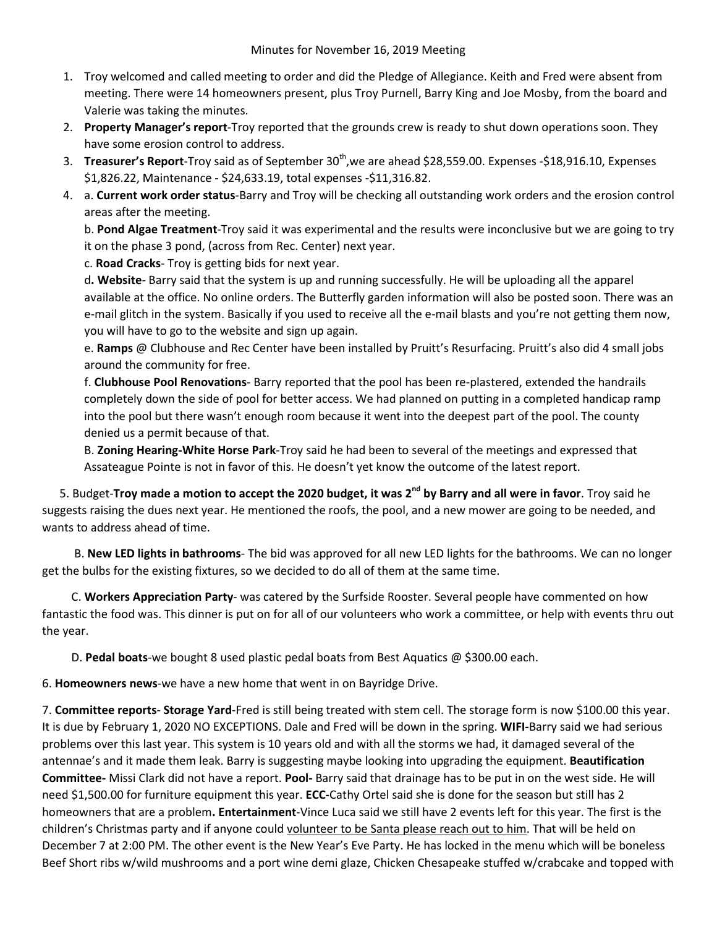- 1. Troy welcomed and called meeting to order and did the Pledge of Allegiance. Keith and Fred were absent from meeting. There were 14 homeowners present, plus Troy Purnell, Barry King and Joe Mosby, from the board and Valerie was taking the minutes.
- 2. **Property Manager's report**-Troy reported that the grounds crew is ready to shut down operations soon. They have some erosion control to address.
- 3. **Treasurer's Report**-Troy said as of September 30<sup>th</sup>, we are ahead \$28,559.00. Expenses -\$18,916.10, Expenses \$1,826.22, Maintenance - \$24,633.19, total expenses -\$11,316.82.
- 4. a. **Current work order status**-Barry and Troy will be checking all outstanding work orders and the erosion control areas after the meeting.

b. **Pond Algae Treatment**-Troy said it was experimental and the results were inconclusive but we are going to try it on the phase 3 pond, (across from Rec. Center) next year.

c. **Road Cracks**- Troy is getting bids for next year.

d**. Website**- Barry said that the system is up and running successfully. He will be uploading all the apparel available at the office. No online orders. The Butterfly garden information will also be posted soon. There was an e-mail glitch in the system. Basically if you used to receive all the e-mail blasts and you're not getting them now, you will have to go to the website and sign up again.

e. **Ramps** @ Clubhouse and Rec Center have been installed by Pruitt's Resurfacing. Pruitt's also did 4 small jobs around the community for free.

f. **Clubhouse Pool Renovations**- Barry reported that the pool has been re-plastered, extended the handrails completely down the side of pool for better access. We had planned on putting in a completed handicap ramp into the pool but there wasn't enough room because it went into the deepest part of the pool. The county denied us a permit because of that.

B. **Zoning Hearing-White Horse Park**-Troy said he had been to several of the meetings and expressed that Assateague Pointe is not in favor of this. He doesn't yet know the outcome of the latest report.

 5. Budget-**Troy made a motion to accept the 2020 budget, it was 2nd by Barry and all were in favor**. Troy said he suggests raising the dues next year. He mentioned the roofs, the pool, and a new mower are going to be needed, and wants to address ahead of time.

 B. **New LED lights in bathrooms**- The bid was approved for all new LED lights for the bathrooms. We can no longer get the bulbs for the existing fixtures, so we decided to do all of them at the same time.

 C. **Workers Appreciation Party**- was catered by the Surfside Rooster. Several people have commented on how fantastic the food was. This dinner is put on for all of our volunteers who work a committee, or help with events thru out the year.

D. **Pedal boats**-we bought 8 used plastic pedal boats from Best Aquatics @ \$300.00 each.

6. **Homeowners news**-we have a new home that went in on Bayridge Drive.

7. **Committee reports**- **Storage Yard**-Fred is still being treated with stem cell. The storage form is now \$100.00 this year. It is due by February 1, 2020 NO EXCEPTIONS. Dale and Fred will be down in the spring. **WIFI-**Barry said we had serious problems over this last year. This system is 10 years old and with all the storms we had, it damaged several of the antennae's and it made them leak. Barry is suggesting maybe looking into upgrading the equipment. **Beautification Committee-** Missi Clark did not have a report. **Pool-** Barry said that drainage has to be put in on the west side. He will need \$1,500.00 for furniture equipment this year. **ECC-**Cathy Ortel said she is done for the season but still has 2 homeowners that are a problem**. Entertainment**-Vince Luca said we still have 2 events left for this year. The first is the children's Christmas party and if anyone could volunteer to be Santa please reach out to him. That will be held on December 7 at 2:00 PM. The other event is the New Year's Eve Party. He has locked in the menu which will be boneless Beef Short ribs w/wild mushrooms and a port wine demi glaze, Chicken Chesapeake stuffed w/crabcake and topped with